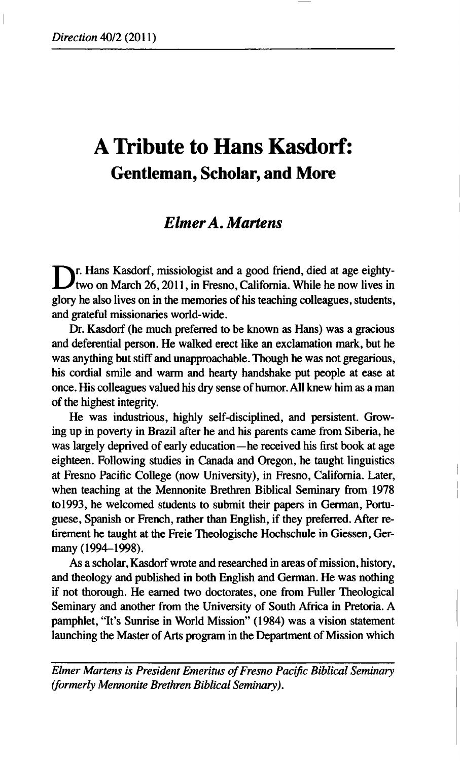# **A Tribute to Hans Kasdorf: Gentleman, Scholar, and More**

## *ElmerA. Martens*

**D**<sub>**r**</sub>. Hans Kasdorf, missiologist and a good friend, died at age eighty-<br>two on March 26, 2011, in Fresno, California. While he now lives in **two on March 26,2011, in Fresno, California. While he now lives in glory he also lives on in the memories of his teaching colleagues, students, and grateful missionaries world-wide.** 

**Dr. Kasdorf (he much preferred to be known as Hans) was a gracious and deferential person. He walked erect like an exclamation mark, but he was anything but stiff and unapproachable. Though he was not gregarious, his cordial smile and warm and hearty handshake put people at ease at once. His colleagues valued his dry sense of humor. All knew him as a man of the highest integrity.** 

**He was industrious, highly self-disciplined, and persistent. Growing up in poverty in Brazil after he and his parents came from Siberia, he was largely deprived of early education—he received his first book at age eighteen. Following studies in Canada and Oregon, he taught linguistics at Fresno Pacific College (now University), in Fresno, California. Later, when teaching at the Mennonite Brethren Biblical Seminary from 1978 to 1993, he welcomed students to submit their papers in German, Portuguese, Spanish or French, rather than English, if they preferred. After retirement he taught at the Freie Theologische Hochschule in Giessen, Germany (1994-1998).** 

**As a scholar, Kasdorf wrote and researched in areas of mission, history, and theology and published in both English and German. He was nothing if not thorough. He earned two doctorates, one from Fuller Theological Seminary and another from the University of South Africa in Pretoria. A pamphlet, "It's Sunrise in World Mission" (1984) was a vision statement launching the Master of Arts program in the Department of Mission which** 

*Elmer Martens is President Emeritus of Fresno Pacific Biblical Seminary (formerly Mennonite Brethren Biblical Seminary).*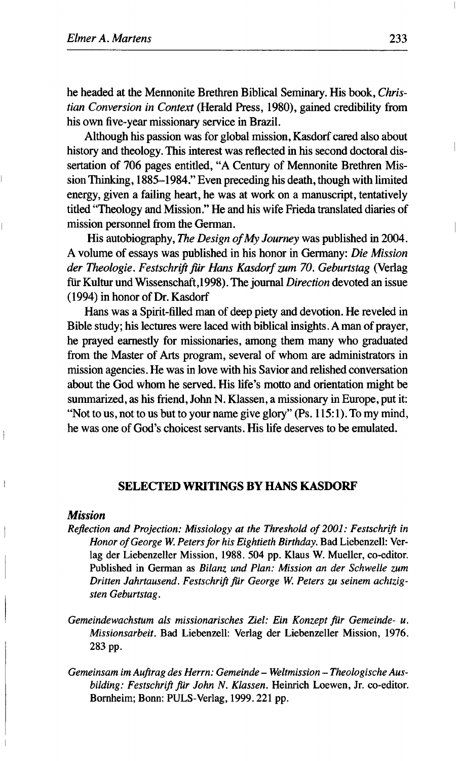he headed at the Mennonite Brethren Biblical Seminary. His book, *Christian Conversion in Context* (Herald Press, 1980), gained credibility from his own five-year missionary service in Brazil.

Although his passion was for global mission, Kasdorf cared also about history and theology. This interest was reflected in his second doctoral dissertation of 706 pages entitled, "A Century of Mennonite Brethren Mission Thinking, 1885-1984." Even preceding his death, though with limited energy, given a failing heart, he was at work on a manuscript, tentatively titled "Theology and Mission." He and his wife Frieda translated diaries of mission personnel from the German.

His autobiography, *The Design of My Journey* was published in 2004. A volume of essays was published in his honor in Germany: *Die Mission der Theologie. Festschrift ßr Hans Kasdorfzum 70. Geburtstag* **(Verlag**  für Kultur und Wissenschaft,1998). The journal *Direction* devoted an issue (1994) in honor of Dr. Kasdorf

Hans was a Spirit-filled man of deep piety and devotion. He reveled in Bible study; his lectures were laced with biblical insights. A man of prayer, he prayed earnestly for missionaries, among them many who graduated from the Master of Arts program, several of whom are administrators in mission agencies. He was in love with his Savior and relished conversation about the God whom he served. His life's motto and orientation might be summarized, as his friend, John N. Klassen, a missionary in Europe, put it: "Not to us, not to us but to your name give glory" (Ps. 115:1). To my mind, he was one of God's choicest servants. His life deserves to be emulated.

#### **SELECTED WRITINGS BY HANS KASDORF**

#### *Mission*

 $\mathbf{I}$ 

- *Reflection and Projection: Missiology at the Threshold of 2001: Festschrift in Honor of George W. Peters for his Eightieth Birthday.* Bad Liebenzell: Verlag der Liebenzeller Mission, 1988. 504 pp. Klaus W. Mueller, co-editor. Published in German as *Bilanz und Plan: Mission an der Schwelle zum Dritten Jahrtausend. Festschrift ßr George W. Peters zu seinem achtzigsten Geburtstag.*
- Gemeindewachstum als missionarisches Ziel: Ein Konzept für Gemeinde- u. *Missionsarbeit.* Bad Liebenzell: Verlag der Liebenzeller Mission, 1976. 283 pp.
- *Gemeinsam im Auftrag des Herrn: Gemeinde - Weltmission - Theologische Aus*bilding: Festschrift für John N. Klassen. Heinrich Loewen, Jr. co-editor. Bornheim; Bonn: PULS-Verlag, 1999.221 pp.